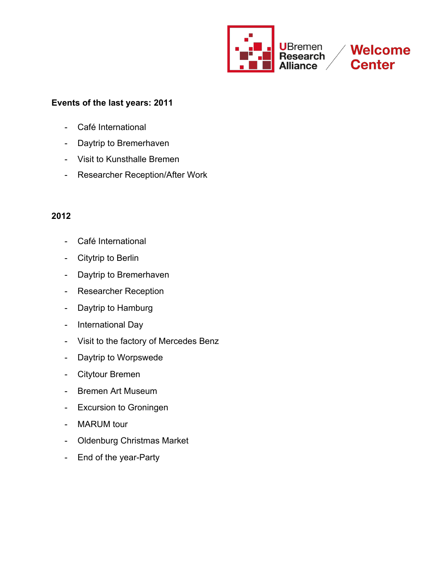

**Welcome Center** 

# **Events of the last years: 2011**

- Café International
- Daytrip to Bremerhaven
- Visit to Kunsthalle Bremen
- Researcher Reception/After Work

- Café International
- Citytrip to Berlin
- Daytrip to Bremerhaven
- Researcher Reception
- Daytrip to Hamburg
- International Day
- Visit to the factory of Mercedes Benz
- Daytrip to Worpswede
- Citytour Bremen
- Bremen Art Museum
- Excursion to Groningen
- MARUM tour
- Oldenburg Christmas Market
- End of the year-Party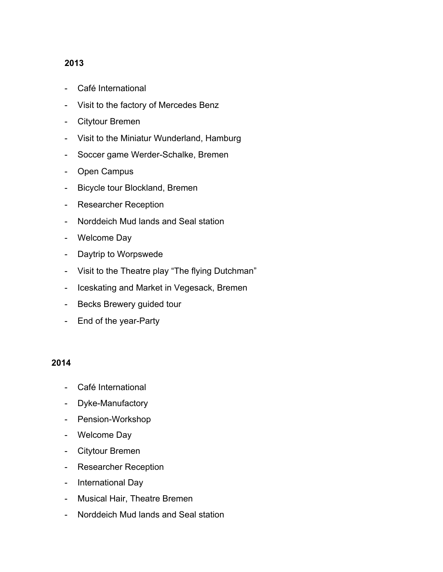- Café International
- Visit to the factory of Mercedes Benz
- Citytour Bremen
- Visit to the Miniatur Wunderland, Hamburg
- Soccer game Werder-Schalke, Bremen
- Open Campus
- Bicycle tour Blockland, Bremen
- Researcher Reception
- Norddeich Mud lands and Seal station
- Welcome Day
- Daytrip to Worpswede
- Visit to the Theatre play "The flying Dutchman"
- Iceskating and Market in Vegesack, Bremen
- Becks Brewery guided tour
- End of the year-Party

- Café International
- Dyke-Manufactory
- Pension-Workshop
- Welcome Day
- Citytour Bremen
- Researcher Reception
- International Day
- Musical Hair, Theatre Bremen
- Norddeich Mud lands and Seal station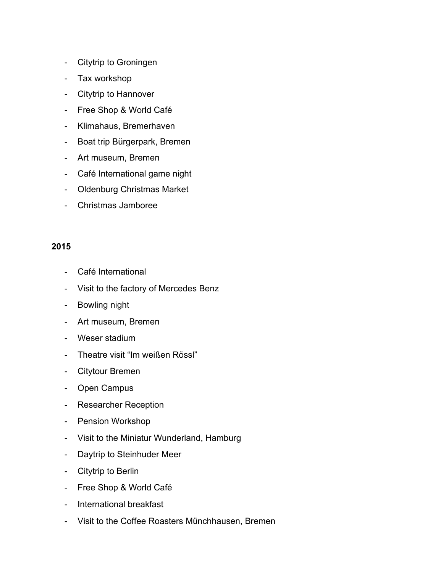- Citytrip to Groningen
- Tax workshop
- Citytrip to Hannover
- Free Shop & World Café
- Klimahaus, Bremerhaven
- Boat trip Bürgerpark, Bremen
- Art museum, Bremen
- Café International game night
- Oldenburg Christmas Market
- Christmas Jamboree

- Café International
- Visit to the factory of Mercedes Benz
- Bowling night
- Art museum, Bremen
- Weser stadium
- Theatre visit "Im weißen Rössl"
- Citytour Bremen
- Open Campus
- Researcher Reception
- Pension Workshop
- Visit to the Miniatur Wunderland, Hamburg
- Daytrip to Steinhuder Meer
- Citytrip to Berlin
- Free Shop & World Café
- International breakfast
- Visit to the Coffee Roasters Münchhausen, Bremen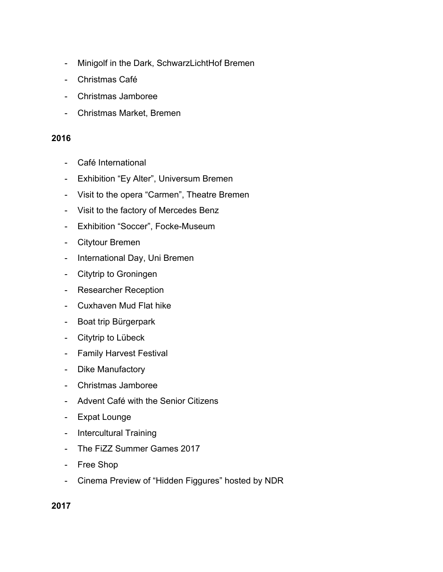- Minigolf in the Dark, SchwarzLichtHof Bremen
- Christmas Café
- Christmas Jamboree
- Christmas Market, Bremen

- Café International
- Exhibition "Ey Alter", Universum Bremen
- Visit to the opera "Carmen", Theatre Bremen
- Visit to the factory of Mercedes Benz
- Exhibition "Soccer", Focke-Museum
- Citytour Bremen
- International Day, Uni Bremen
- Citytrip to Groningen
- Researcher Reception
- Cuxhaven Mud Flat hike
- Boat trip Bürgerpark
- Citytrip to Lübeck
- Family Harvest Festival
- Dike Manufactory
- Christmas Jamboree
- Advent Café with the Senior Citizens
- Expat Lounge
- Intercultural Training
- The FiZZ Summer Games 2017
- Free Shop
- Cinema Preview of "Hidden Figgures" hosted by NDR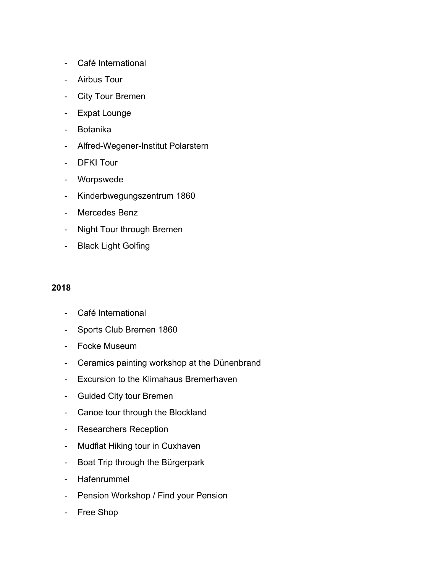- Café International
- Airbus Tour
- City Tour Bremen
- Expat Lounge
- Botanika
- Alfred-Wegener-Institut Polarstern
- DFKI Tour
- Worpswede
- Kinderbwegungszentrum 1860
- Mercedes Benz
- Night Tour through Bremen
- Black Light Golfing

- Café International
- Sports Club Bremen 1860
- Focke Museum
- Ceramics painting workshop at the Dünenbrand
- Excursion to the Klimahaus Bremerhaven
- Guided City tour Bremen
- Canoe tour through the Blockland
- Researchers Reception
- Mudflat Hiking tour in Cuxhaven
- Boat Trip through the Bürgerpark
- Hafenrummel
- Pension Workshop / Find your Pension
- Free Shop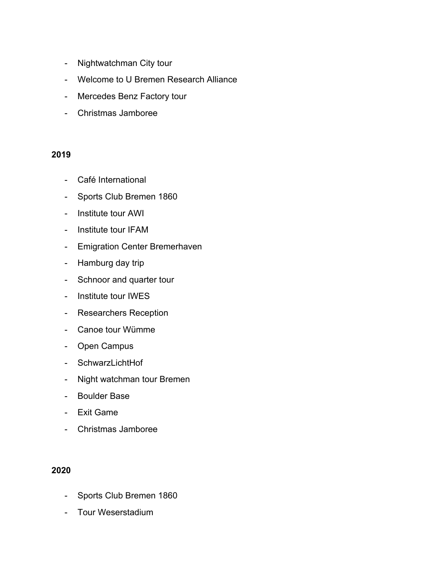- Nightwatchman City tour
- Welcome to U Bremen Research Alliance
- Mercedes Benz Factory tour
- Christmas Jamboree

- Café International
- Sports Club Bremen 1860
- Institute tour AWI
- Institute tour IFAM
- Emigration Center Bremerhaven
- Hamburg day trip
- Schnoor and quarter tour
- Institute tour IWES
- Researchers Reception
- Canoe tour Wümme
- Open Campus
- SchwarzLichtHof
- Night watchman tour Bremen
- Boulder Base
- Exit Game
- Christmas Jamboree

- Sports Club Bremen 1860
- Tour Weserstadium